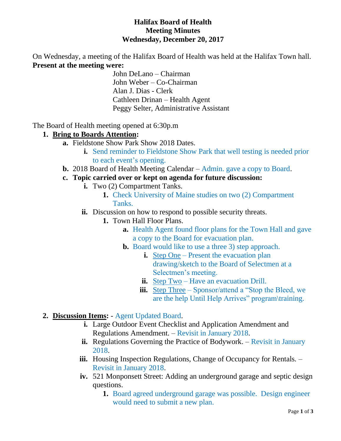#### **Halifax Board of Health Meeting Minutes Wednesday, December 20, 2017**

On Wednesday, a meeting of the Halifax Board of Health was held at the Halifax Town hall. **Present at the meeting were:**

> John DeLano – Chairman John Weber – Co-Chairman Alan J. Dias - Clerk Cathleen Drinan – Health Agent Peggy Selter, Administrative Assistant

The Board of Health meeting opened at 6:30p.m

#### **1. Bring to Boards Attention:**

- **a.** Fieldstone Show Park Show 2018 Dates.
	- **i.** Send reminder to Fieldstone Show Park that well testing is needed prior to each event's opening.
- **b.** 2018 Board of Health Meeting Calendar Admin. gave a copy to Board.
- **c. Topic carried over or kept on agenda for future discussion:**
	- **i.** Two (2) Compartment Tanks.
		- **1.** Check University of Maine studies on two (2) Compartment Tanks.
	- **ii.** Discussion on how to respond to possible security threats.
		- **1.** Town Hall Floor Plans.
			- **a.** Health Agent found floor plans for the Town Hall and gave a copy to the Board for evacuation plan.
			- **b.** Board would like to use a three 3) step approach.
				- **i.** Step One Present the evacuation plan drawing/sketch to the Board of Selectmen at a Selectmen's meeting.
				- **ii.** Step Two Have an evacuation Drill.
				- **iii.** Step Three Sponsor/attend a "Stop the Bleed, we are the help Until Help Arrives" program\training.
- **2. Discussion Items:**  Agent Updated Board.
	- **i.** Large Outdoor Event Checklist and Application Amendment and Regulations Amendment. – Revisit in January 2018.
	- **ii.** Regulations Governing the Practice of Bodywork. Revisit in January 2018.
	- **iii.** Housing Inspection Regulations, Change of Occupancy for Rentals. Revisit in January 2018.
	- **iv.** 521 Monponsett Street: Adding an underground garage and septic design questions.
		- **1.** Board agreed underground garage was possible. Design engineer would need to submit a new plan.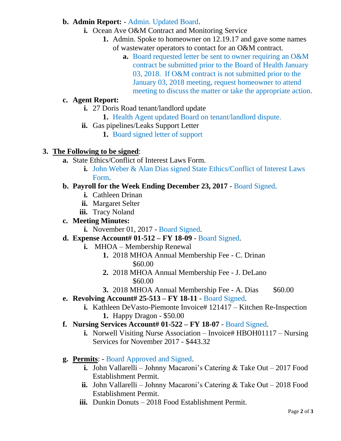### **b. Admin Report:** - Admin. Updated Board.

- **i.** Ocean Ave O&M Contract and Monitoring Service
	- **1.** Admin. Spoke to homeowner on 12.19.17 and gave some names of wastewater operators to contact for an O&M contract.
		- **a.** Board requested letter be sent to owner requiring an O&M contract be submitted prior to the Board of Health January 03, 2018. If O&M contract is not submitted prior to the January 03, 2018 meeting, request homeowner to attend meeting to discuss the matter or take the appropriate action.

# **c. Agent Report:**

- **i.** 27 Doris Road tenant/landlord update
	- **1.** Health Agent updated Board on tenant/landlord dispute.
- **ii.** Gas pipelines/Leaks Support Letter
	- **1.** Board signed letter of support

## **3. The Following to be signed**:

- **a.** State Ethics/Conflict of Interest Laws Form.
	- **i.** John Weber & Alan Dias signed State Ethics/Conflict of Interest Laws Form.

## **b. Payroll for the Week Ending December 23, 2017** - Board Signed.

- **i.** Cathleen Drinan
- **ii.** Margaret Selter
- **iii.** Tracy Noland

### **c. Meeting Minutes:**

- **i.** November 01, 2017 Board Signed.
- **d. Expense Account# 01-512 – FY 18-09** Board Signed.
	- **i.** MHOA Membership Renewal
		- **1.** 2018 MHOA Annual Membership Fee C. Drinan \$60.00
		- **2.** 2018 MHOA Annual Membership Fee J. DeLano \$60.00
		- **3.** 2018 MHOA Annual Membership Fee A. Dias \$60.00

### **e. Revolving Account# 25-513 – FY 18-11** - Board Signed.

- **i.** Kathleen DeVasto-Piemonte Invoice# 121417 Kitchen Re-Inspection **1.** Happy Dragon - \$50.00
- **f. Nursing Services Account# 01-522 – FY 18-07** Board Signed.
	- **i.** Norwell Visiting Nurse Association Invoice# HBOH01117 Nursing Services for November 2017 - \$443.32
- **g. Permits**: Board Approved and Signed.
	- **i.** John Vallarelli Johnny Macaroni's Catering & Take Out 2017 Food Establishment Permit.
	- **ii.** John Vallarelli Johnny Macaroni's Catering & Take Out 2018 Food Establishment Permit.
	- **iii.** Dunkin Donuts 2018 Food Establishment Permit.